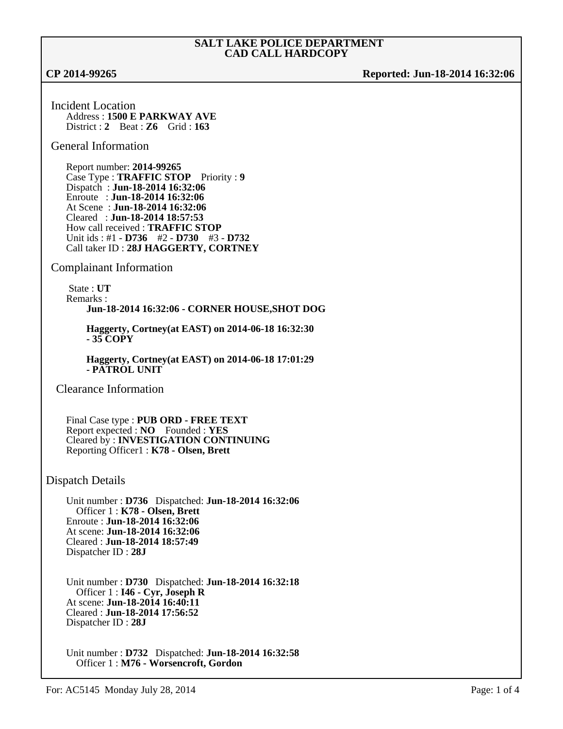**CP 2014-99265 Reported: Jun-18-2014 16:32:06**

Incident Location Address : **1500 E PARKWAY AVE** District : **2** Beat : **Z6** Grid : **163**

### General Information

Report number: **2014-99265** Case Type : **TRAFFIC STOP** Priority : **9** Dispatch : **Jun-18-2014 16:32:06** Enroute : **Jun-18-2014 16:32:06** At Scene : **Jun-18-2014 16:32:06** Cleared : **Jun-18-2014 18:57:53** How call received : **TRAFFIC STOP** Unit ids : #1 - **D736** #2 - **D730** #3 - **D732** Call taker ID : **28J HAGGERTY, CORTNEY**

## Complainant Information

 State : **UT** Remarks : **Jun-18-2014 16:32:06 - CORNER HOUSE,SHOT DOG**

**Haggerty, Cortney(at EAST) on 2014-06-18 16:32:30 - 35 COPY**

**Haggerty, Cortney(at EAST) on 2014-06-18 17:01:29 - PATROL UNIT**

Clearance Information

Final Case type : **PUB ORD - FREE TEXT** Report expected : **NO** Founded : **YES** Cleared by : **INVESTIGATION CONTINUING** Reporting Officer1 : **K78 - Olsen, Brett**

## Dispatch Details

Unit number : **D736** Dispatched: **Jun-18-2014 16:32:06** Officer 1 : **K78 - Olsen, Brett** Enroute : **Jun-18-2014 16:32:06** At scene: **Jun-18-2014 16:32:06** Cleared : **Jun-18-2014 18:57:49** Dispatcher ID : **28J**

Unit number : **D730** Dispatched: **Jun-18-2014 16:32:18** Officer 1 : **I46 - Cyr, Joseph R** At scene: **Jun-18-2014 16:40:11** Cleared : **Jun-18-2014 17:56:52** Dispatcher ID : **28J**

Unit number : **D732** Dispatched: **Jun-18-2014 16:32:58** Officer 1 : **M76 - Worsencroft, Gordon**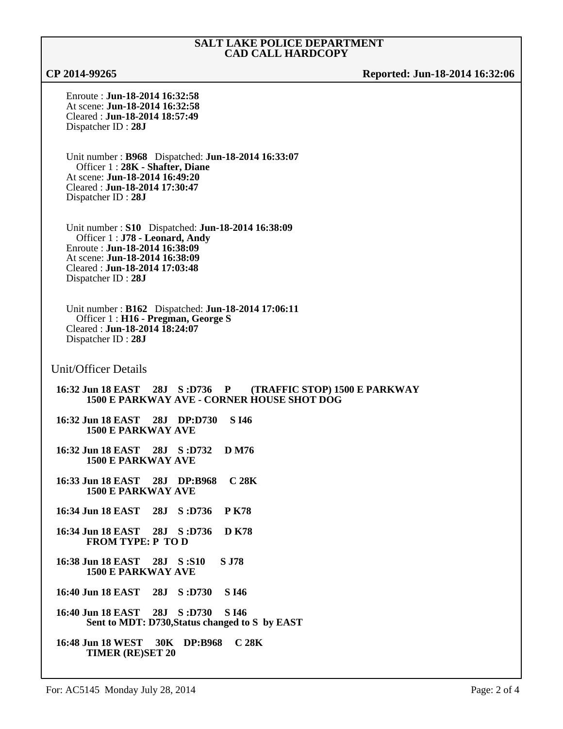**CP 2014-99265 Reported: Jun-18-2014 16:32:06**

Enroute : **Jun-18-2014 16:32:58** At scene: **Jun-18-2014 16:32:58** Cleared : **Jun-18-2014 18:57:49** Dispatcher ID : **28J**

Unit number : **B968** Dispatched: **Jun-18-2014 16:33:07** Officer 1 : **28K - Shafter, Diane** At scene: **Jun-18-2014 16:49:20** Cleared : **Jun-18-2014 17:30:47** Dispatcher ID : **28J**

Unit number : **S10** Dispatched: **Jun-18-2014 16:38:09** Officer 1 : **J78 - Leonard, Andy** Enroute : **Jun-18-2014 16:38:09** At scene: **Jun-18-2014 16:38:09** Cleared : **Jun-18-2014 17:03:48** Dispatcher ID : **28J**

Unit number : **B162** Dispatched: **Jun-18-2014 17:06:11** Officer 1 : **H16 - Pregman, George S** Cleared : **Jun-18-2014 18:24:07** Dispatcher ID : **28J**

Unit/Officer Details

**16:32 Jun 18 EAST 28J S :D736 P (TRAFFIC STOP) 1500 E PARKWAY 1500 E PARKWAY AVE - CORNER HOUSE SHOT DOG**

**16:32 Jun 18 EAST 28J DP:D730 S I46 1500 E PARKWAY AVE**

- **16:32 Jun 18 EAST 28J S :D732 D M76 1500 E PARKWAY AVE**
- **16:33 Jun 18 EAST 28J DP:B968 C 28K 1500 E PARKWAY AVE**
- **16:34 Jun 18 EAST 28J S :D736 P K78**
- **16:34 Jun 18 EAST 28J S :D736 D K78 FROM TYPE: P TO D**
- **16:38 Jun 18 EAST 28J S :S10 S J78 1500 E PARKWAY AVE**

**16:40 Jun 18 EAST 28J S :D730 S I46**

- **16:40 Jun 18 EAST 28J S :D730 S I46 Sent to MDT: D730,Status changed to S by EAST**
- **16:48 Jun 18 WEST 30K DP:B968 C 28K TIMER (RE)SET 20**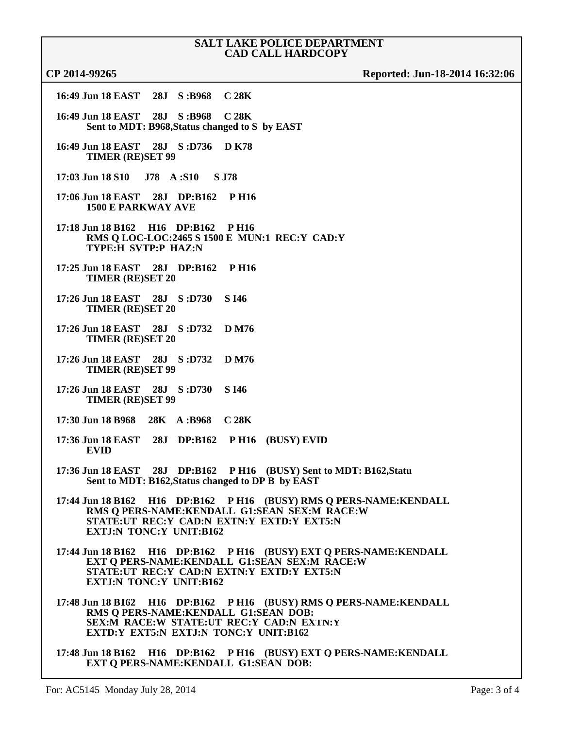# **CP 2014-99265 Reported: Jun-18-2014 16:32:06**

| 16:49 Jun 18 EAST 28J S:B968 C 28K                                             |  |                  |                                                                                              |                                       |                                                                    |
|--------------------------------------------------------------------------------|--|------------------|----------------------------------------------------------------------------------------------|---------------------------------------|--------------------------------------------------------------------|
| 16:49 Jun 18 EAST 28J S:B968<br>Sent to MDT: B968, Status changed to S by EAST |  | C <sub>28K</sub> |                                                                                              |                                       |                                                                    |
| 16:49 Jun 18 EAST 28J S:D736 D K78<br><b>TIMER (RE)SET 99</b>                  |  |                  |                                                                                              |                                       |                                                                    |
| 17:03 Jun 18 S10 J78 A:S10 S J78                                               |  |                  |                                                                                              |                                       |                                                                    |
| 17:06 Jun 18 EAST 28J DP:B162<br><b>1500 E PARKWAY AVE</b>                     |  | <b>PH16</b>      |                                                                                              |                                       |                                                                    |
| 17:18 Jun 18 B162 H16 DP:B162 P H16<br>TYPE:H SVTP:P HAZ:N                     |  |                  | RMS Q LOC-LOC:2465 S 1500 E MUN:1 REC:Y CAD:Y                                                |                                       |                                                                    |
| 17:25 Jun 18 EAST 28J DP:B162 P H16<br><b>TIMER (RE)SET 20</b>                 |  |                  |                                                                                              |                                       |                                                                    |
| 17:26 Jun 18 EAST 28J S:D730<br><b>TIMER (RE)SET 20</b>                        |  | S I46            |                                                                                              |                                       |                                                                    |
| 17:26 Jun 18 EAST 28J S:D732<br><b>TIMER (RE)SET 20</b>                        |  | <b>D</b> M76     |                                                                                              |                                       |                                                                    |
| 17:26 Jun 18 EAST 28J S:D732<br><b>TIMER (RE)SET 99</b>                        |  | D M76            |                                                                                              |                                       |                                                                    |
| 17:26 Jun 18 EAST 28J S:D730<br><b>TIMER (RE)SET 99</b>                        |  | S I46            |                                                                                              |                                       |                                                                    |
| 17:30 Jun 18 B968 28K A:B968 C 28K                                             |  |                  |                                                                                              |                                       |                                                                    |
| <b>EVID</b>                                                                    |  |                  | 17:36 Jun 18 EAST 28J DP:B162 P H16 (BUSY) EVID                                              |                                       |                                                                    |
| 17:36 Jun 18 EAST 28J DP:B162                                                  |  |                  | Sent to MDT: B162, Status changed to DP B by EAST                                            | P H16 (BUSY) Sent to MDT: B162, Statu |                                                                    |
| <b>EXTJ:N TONC:Y UNIT:B162</b>                                                 |  |                  | RMS Q PERS-NAME:KENDALL G1:SEAN SEX:M RACE:W<br>STATE:UT REC:Y CAD:N EXTN:Y EXTD:Y EXT5:N    |                                       | 17:44 Jun 18 B162 H16 DP:B162 P H16 (BUSY) RMS Q PERS-NAME:KENDALL |
| <b>EXTJ:N TONC:Y UNIT:B162</b>                                                 |  |                  | EXT Q PERS-NAME: KENDALL G1:SEAN SEX: M RACE: W<br>STATE:UT REC:Y CAD:N EXTN:Y EXTD:Y EXT5:N |                                       | 17:44 Jun 18 B162 H16 DP:B162 PH16 (BUSY) EXT Q PERS-NAME:KENDALL  |
| RMS Q PERS-NAME:KENDALL G1:SEAN DOB:<br>EXTD:Y EXT5:N EXTJ:N TONC:Y UNIT:B162  |  |                  | SEX:M RACE:W STATE:UT REC:Y CAD:N EXTN:Y                                                     |                                       | 17:48 Jun 18 B162 H16 DP:B162 PH16 (BUSY) RMS O PERS-NAME: KENDALL |
| <b>EXT O PERS-NAME:KENDALL G1:SEAN DOB:</b>                                    |  |                  |                                                                                              |                                       | 17:48 Jun 18 B162 H16 DP:B162 PH16 (BUSY) EXT O PERS-NAME: KENDALL |